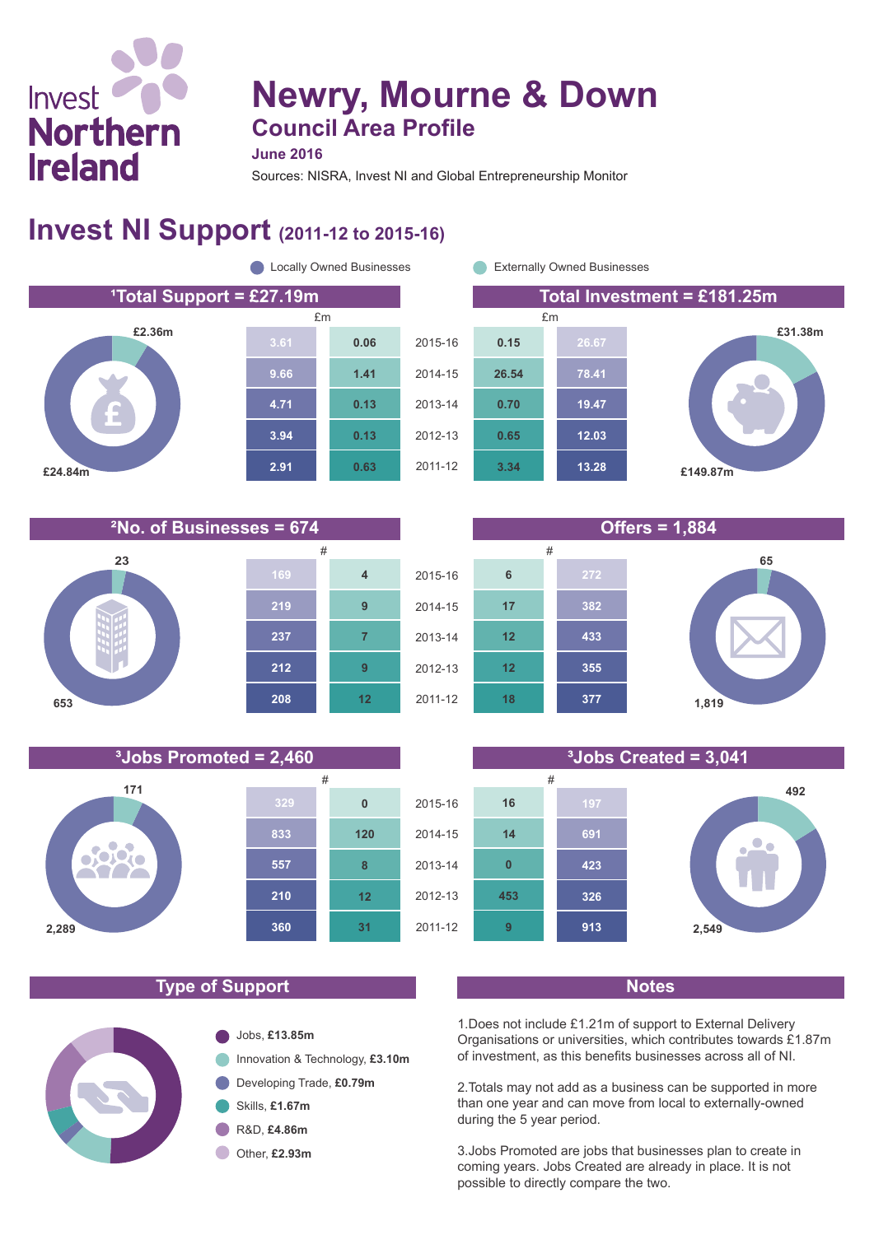# **Newry, Mourne & Down Council Area Profile**

**June 2016**

Sources: NISRA, Invest NI and Global Entrepreneurship Monitor

## **Invest NI Support (2011-12 to 2015-16)**



**¹Total Support = £27.19m Total Investment = £181.25m £31.38m £149.87m 13.28 12.03 19.47 78.41 26.67 3.34 0.65 0.70 26.54 0.15**





#### **Type of Support Notes**



1.Does not include £1.21m of support to External Delivery Organisations or universities, which contributes towards £1.87m of investment, as this benefits businesses across all of NI.

2.Totals may not add as a business can be supported in more than one year and can move from local to externally-owned during the 5 year period.

3.Jobs Promoted are jobs that businesses plan to create in coming years. Jobs Created are already in place. It is not possible to directly compare the two.



**171 329 0 833 120** 0,000 **557 8** TA, **210 12 360 31 2,289**



**219**

**7**

**9**

**4**



**23**

**653**

Invest

**Northern** 

**Ireland**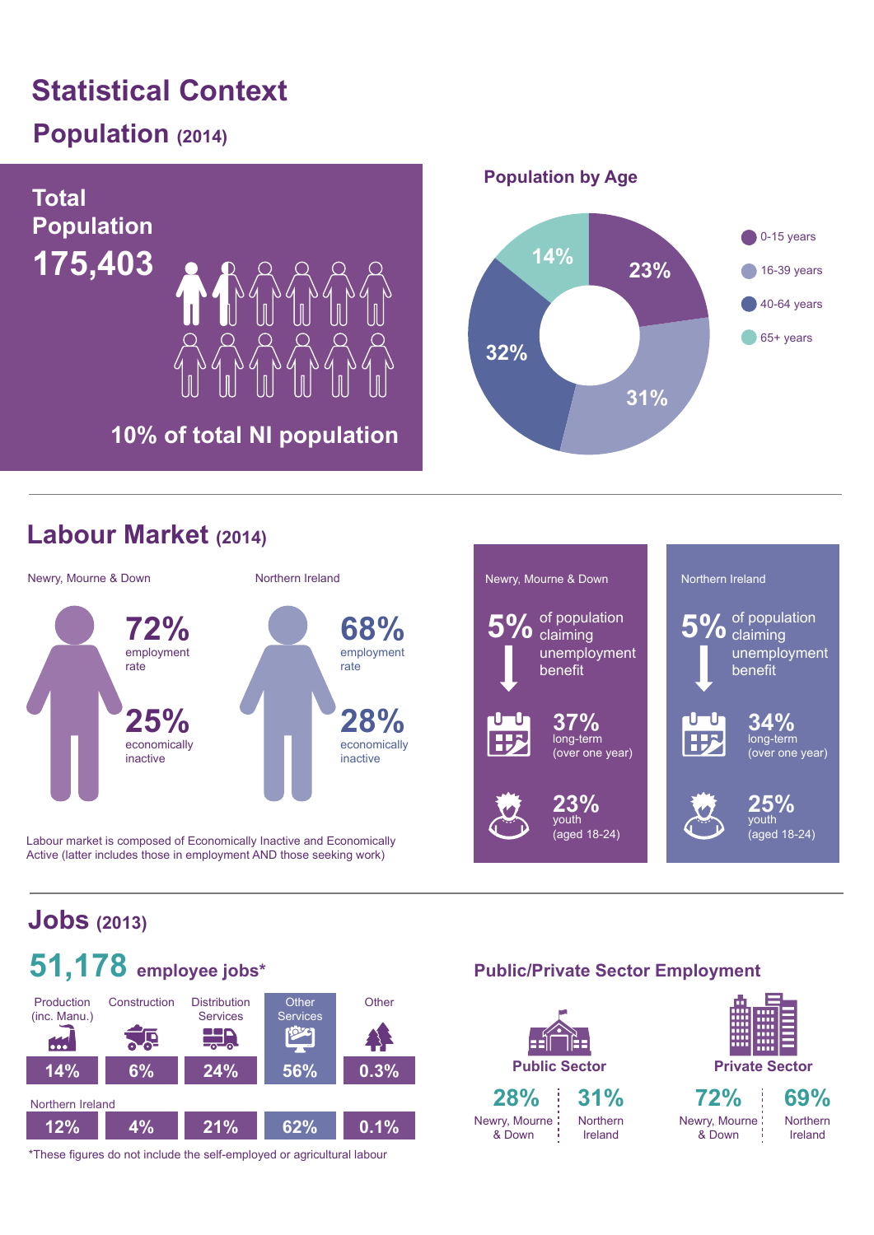# **Statistical Context**

## **Population (2014)**



## **Labour Market (2014)**



Labour market is composed of Economically Inactive and Economically Active (latter includes those in employment AND those seeking work)



## **Jobs (2013)**



\*These figures do not include the self-employed or agricultural labour

#### **Public/Private Sector Employment**

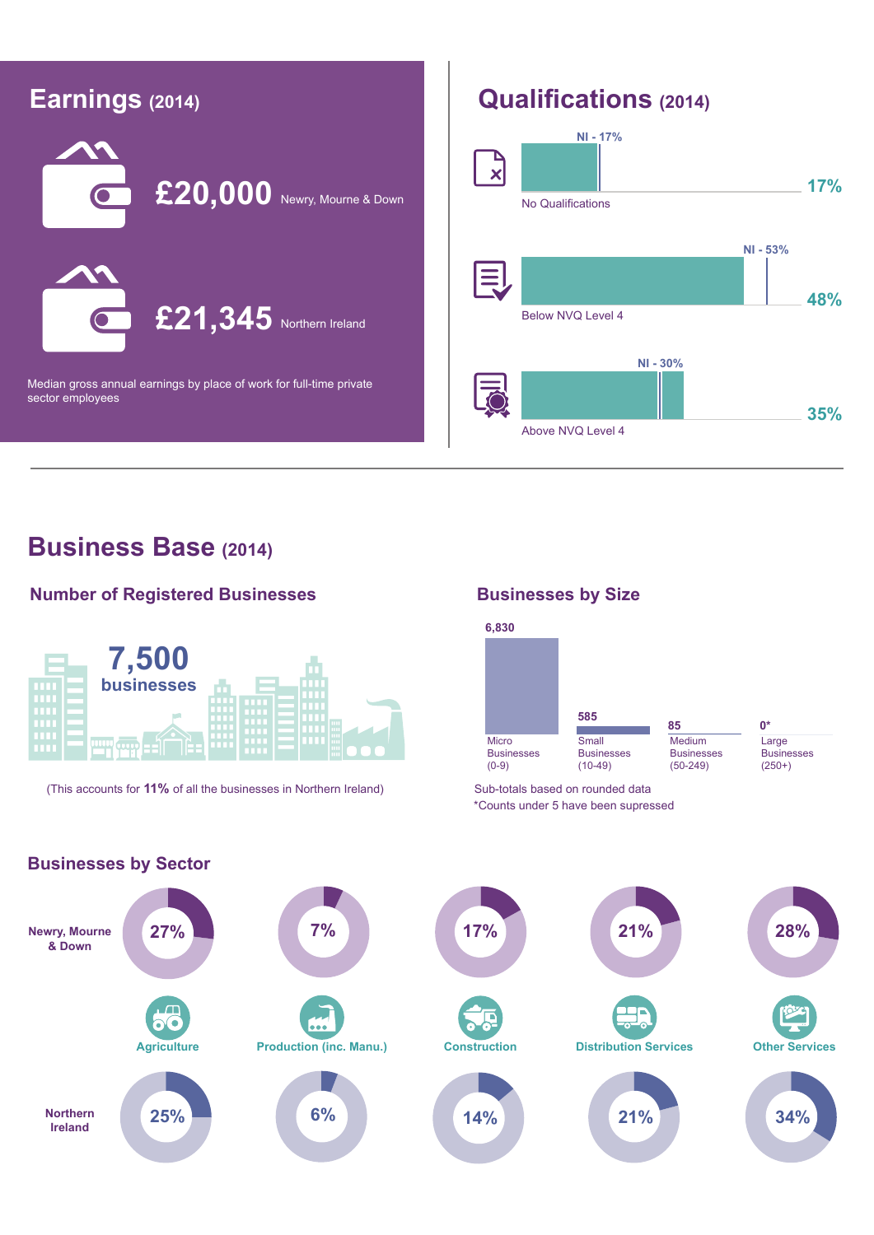

#### **Business Base (2014)**

#### **Number of Registered Businesses**



(This accounts for **11%** of all the businesses in Northern Ireland) Sub-totals based on rounded data

#### **Businesses by Size**



\*Counts under 5 have been supressed